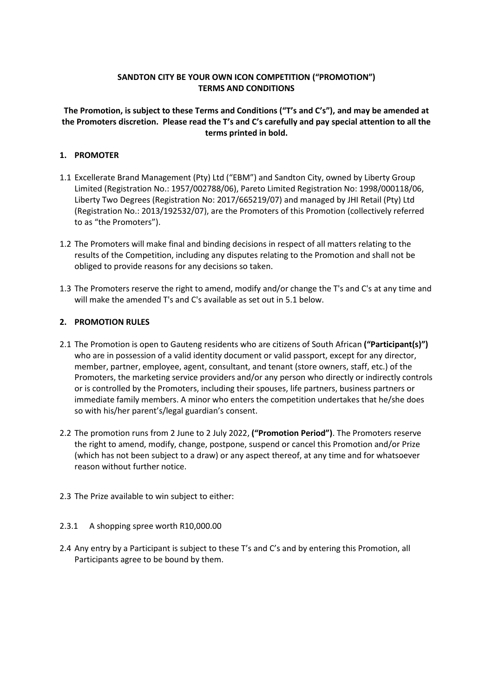## **SANDTON CITY BE YOUR OWN ICON COMPETITION ("PROMOTION") TERMS AND CONDITIONS**

**The Promotion, is subject to these Terms and Conditions ("T's and C's"), and may be amended at the Promoters discretion. Please read the T's and C's carefully and pay special attention to all the terms printed in bold.**

# **1. PROMOTER**

- 1.1 Excellerate Brand Management (Pty) Ltd ("EBM") and Sandton City, owned by Liberty Group Limited (Registration No.: 1957/002788/06), Pareto Limited Registration No: 1998/000118/06, Liberty Two Degrees (Registration No: 2017/665219/07) and managed by JHI Retail (Pty) Ltd (Registration No.: 2013/192532/07), are the Promoters of this Promotion (collectively referred to as "the Promoters").
- 1.2 The Promoters will make final and binding decisions in respect of all matters relating to the results of the Competition, including any disputes relating to the Promotion and shall not be obliged to provide reasons for any decisions so taken.
- 1.3 The Promoters reserve the right to amend, modify and/or change the T's and C's at any time and will make the amended T's and C's available as set out in 5.1 below.

## **2. PROMOTION RULES**

- 2.1 The Promotion is open to Gauteng residents who are citizens of South African **("Participant(s)")**  who are in possession of a valid identity document or valid passport, except for any director, member, partner, employee, agent, consultant, and tenant (store owners, staff, etc.) of the Promoters, the marketing service providers and/or any person who directly or indirectly controls or is controlled by the Promoters, including their spouses, life partners, business partners or immediate family members. A minor who enters the competition undertakes that he/she does so with his/her parent's/legal guardian's consent.
- 2.2 The promotion runs from 2 June to 2 July 2022, **("Promotion Period")**. The Promoters reserve the right to amend, modify, change, postpone, suspend or cancel this Promotion and/or Prize (which has not been subject to a draw) or any aspect thereof, at any time and for whatsoever reason without further notice.
- 2.3 The Prize available to win subject to either:
- 2.3.1 A shopping spree worth R10,000.00
- 2.4 Any entry by a Participant is subject to these T's and C's and by entering this Promotion, all Participants agree to be bound by them.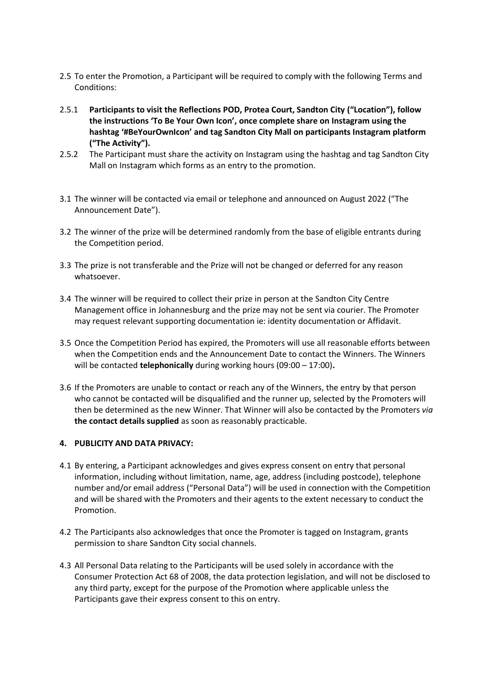- 2.5 To enter the Promotion, a Participant will be required to comply with the following Terms and Conditions:
- 2.5.1 **Participants to visit the Reflections POD, Protea Court, Sandton City ("Location"), follow the instructions 'To Be Your Own Icon', once complete share on Instagram using the hashtag '#BeYourOwnIcon' and tag Sandton City Mall on participants Instagram platform ("The Activity").**
- 2.5.2 The Participant must share the activity on Instagram using the hashtag and tag Sandton City Mall on Instagram which forms as an entry to the promotion.
- 3.1 The winner will be contacted via email or telephone and announced on August 2022 ("The Announcement Date").
- 3.2 The winner of the prize will be determined randomly from the base of eligible entrants during the Competition period.
- 3.3 The prize is not transferable and the Prize will not be changed or deferred for any reason whatsoever.
- 3.4 The winner will be required to collect their prize in person at the Sandton City Centre Management office in Johannesburg and the prize may not be sent via courier. The Promoter may request relevant supporting documentation ie: identity documentation or Affidavit.
- 3.5 Once the Competition Period has expired, the Promoters will use all reasonable efforts between when the Competition ends and the Announcement Date to contact the Winners. The Winners will be contacted **telephonically** during working hours (09:00 – 17:00)**.**
- 3.6 If the Promoters are unable to contact or reach any of the Winners, the entry by that person who cannot be contacted will be disqualified and the runner up, selected by the Promoters will then be determined as the new Winner. That Winner will also be contacted by the Promoters *via*  **the contact details supplied** as soon as reasonably practicable.

#### **4. PUBLICITY AND DATA PRIVACY:**

- 4.1 By entering, a Participant acknowledges and gives express consent on entry that personal information, including without limitation, name, age, address (including postcode), telephone number and/or email address ("Personal Data") will be used in connection with the Competition and will be shared with the Promoters and their agents to the extent necessary to conduct the Promotion.
- 4.2 The Participants also acknowledges that once the Promoter is tagged on Instagram, grants permission to share Sandton City social channels.
- 4.3 All Personal Data relating to the Participants will be used solely in accordance with the Consumer Protection Act 68 of 2008, the data protection legislation, and will not be disclosed to any third party, except for the purpose of the Promotion where applicable unless the Participants gave their express consent to this on entry.